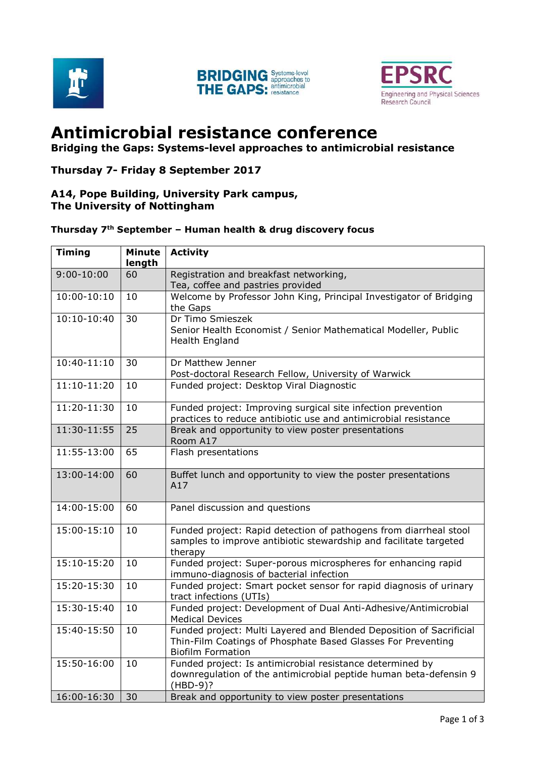





# **Antimicrobial resistance conference**

**Bridging the Gaps: Systems-level approaches to antimicrobial resistance**

#### **Thursday 7- Friday 8 September 2017**

#### **A14, Pope Building, University Park campus, The University of Nottingham**

### **Thursday 7th September – Human health & drug discovery focus**

| <b>Timing</b>  | <b>Minute</b><br>length | <b>Activity</b>                                                                                                                                                 |
|----------------|-------------------------|-----------------------------------------------------------------------------------------------------------------------------------------------------------------|
| $9:00 - 10:00$ | 60                      | Registration and breakfast networking,<br>Tea, coffee and pastries provided                                                                                     |
| $10:00-10:10$  | 10                      | Welcome by Professor John King, Principal Investigator of Bridging<br>the Gaps                                                                                  |
| $10:10-10:40$  | 30                      | Dr Timo Smieszek<br>Senior Health Economist / Senior Mathematical Modeller, Public<br>Health England                                                            |
| $10:40-11:10$  | 30                      | Dr Matthew Jenner<br>Post-doctoral Research Fellow, University of Warwick                                                                                       |
| $11:10-11:20$  | 10                      | Funded project: Desktop Viral Diagnostic                                                                                                                        |
| 11:20-11:30    | 10                      | Funded project: Improving surgical site infection prevention<br>practices to reduce antibiotic use and antimicrobial resistance                                 |
| 11:30-11:55    | 25                      | Break and opportunity to view poster presentations<br>Room A17                                                                                                  |
| 11:55-13:00    | 65                      | Flash presentations                                                                                                                                             |
| 13:00-14:00    | 60                      | Buffet lunch and opportunity to view the poster presentations<br>A17                                                                                            |
| 14:00-15:00    | 60                      | Panel discussion and questions                                                                                                                                  |
| 15:00-15:10    | 10                      | Funded project: Rapid detection of pathogens from diarrheal stool<br>samples to improve antibiotic stewardship and facilitate targeted<br>therapy               |
| $15:10-15:20$  | 10                      | Funded project: Super-porous microspheres for enhancing rapid<br>immuno-diagnosis of bacterial infection                                                        |
| 15:20-15:30    | 10                      | Funded project: Smart pocket sensor for rapid diagnosis of urinary<br>tract infections (UTIs)                                                                   |
| 15:30-15:40    | 10                      | Funded project: Development of Dual Anti-Adhesive/Antimicrobial<br><b>Medical Devices</b>                                                                       |
| 15:40-15:50    | 10                      | Funded project: Multi Layered and Blended Deposition of Sacrificial<br>Thin-Film Coatings of Phosphate Based Glasses For Preventing<br><b>Biofilm Formation</b> |
| 15:50-16:00    | 10                      | Funded project: Is antimicrobial resistance determined by<br>downregulation of the antimicrobial peptide human beta-defensin 9<br>$(HBD-9)?$                    |
| 16:00-16:30    | 30                      | Break and opportunity to view poster presentations                                                                                                              |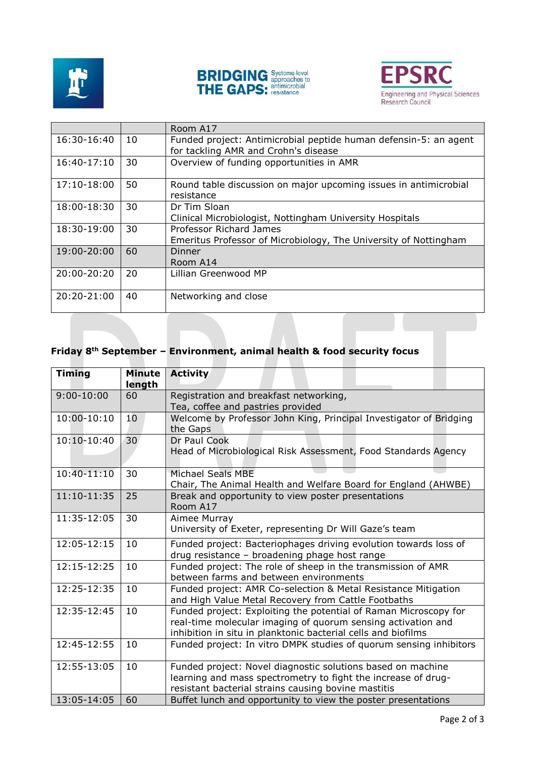





|                 |    | Room A17                                                                                                 |
|-----------------|----|----------------------------------------------------------------------------------------------------------|
| 16:30-16:40     | 10 | Funded project: Antimicrobial peptide human defensin-5: an agent<br>for tackling AMR and Crohn's disease |
| $16:40-17:10$   | 30 | Overview of funding opportunities in AMR                                                                 |
| $17:10-18:00$   | 50 | Round table discussion on major upcoming issues in antimicrobial<br>resistance                           |
| 18:00-18:30     | 30 | Dr Tim Sloan<br>Clinical Microbiologist, Nottingham University Hospitals                                 |
| 18:30-19:00     | 30 | Professor Richard James<br>Emeritus Professor of Microbiology, The University of Nottingham              |
| $19:00 - 20:00$ | 60 | Dinner<br>Room A14                                                                                       |
| 20:00-20:20     | 20 | Lillian Greenwood MP                                                                                     |
| 20:20-21:00     | 40 | Networking and close                                                                                     |

## **Friday 8th September – Environment, animal health & food security focus**

| <b>Timing</b>  | <b>Minute</b><br>length | <b>Activity</b>                                                    |
|----------------|-------------------------|--------------------------------------------------------------------|
| $9:00 - 10:00$ | 60                      | Registration and breakfast networking,                             |
|                |                         | Tea, coffee and pastries provided                                  |
| $10:00-10:10$  | 10                      | Welcome by Professor John King, Principal Investigator of Bridging |
|                |                         | the Gaps                                                           |
| 10:10-10:40    | 30                      | Dr Paul Cook                                                       |
|                |                         | Head of Microbiological Risk Assessment, Food Standards Agency     |
| 10:40-11:10    | 30                      | Michael Seals MBE                                                  |
|                |                         | Chair, The Animal Health and Welfare Board for England (AHWBE)     |
| 11:10-11:35    | 25                      | Break and opportunity to view poster presentations                 |
|                |                         | Room A17                                                           |
| 11:35-12:05    | 30                      | Aimee Murray                                                       |
|                |                         | University of Exeter, representing Dr Will Gaze's team             |
| 12:05-12:15    | 10                      | Funded project: Bacteriophages driving evolution towards loss of   |
|                |                         | drug resistance - broadening phage host range                      |
| 12:15-12:25    | 10                      | Funded project: The role of sheep in the transmission of AMR       |
|                |                         | between farms and between environments                             |
| 12:25-12:35    | 10                      | Funded project: AMR Co-selection & Metal Resistance Mitigation     |
|                |                         | and High Value Metal Recovery from Cattle Footbaths                |
| 12:35-12:45    | 10                      | Funded project: Exploiting the potential of Raman Microscopy for   |
|                |                         | real-time molecular imaging of quorum sensing activation and       |
|                |                         | inhibition in situ in planktonic bacterial cells and biofilms      |
| 12:45-12:55    | 10                      | Funded project: In vitro DMPK studies of quorum sensing inhibitors |
| 12:55-13:05    | 10                      | Funded project: Novel diagnostic solutions based on machine        |
|                |                         | learning and mass spectrometry to fight the increase of drug-      |
|                |                         | resistant bacterial strains causing bovine mastitis                |
| 13:05-14:05    | 60                      | Buffet lunch and opportunity to view the poster presentations      |